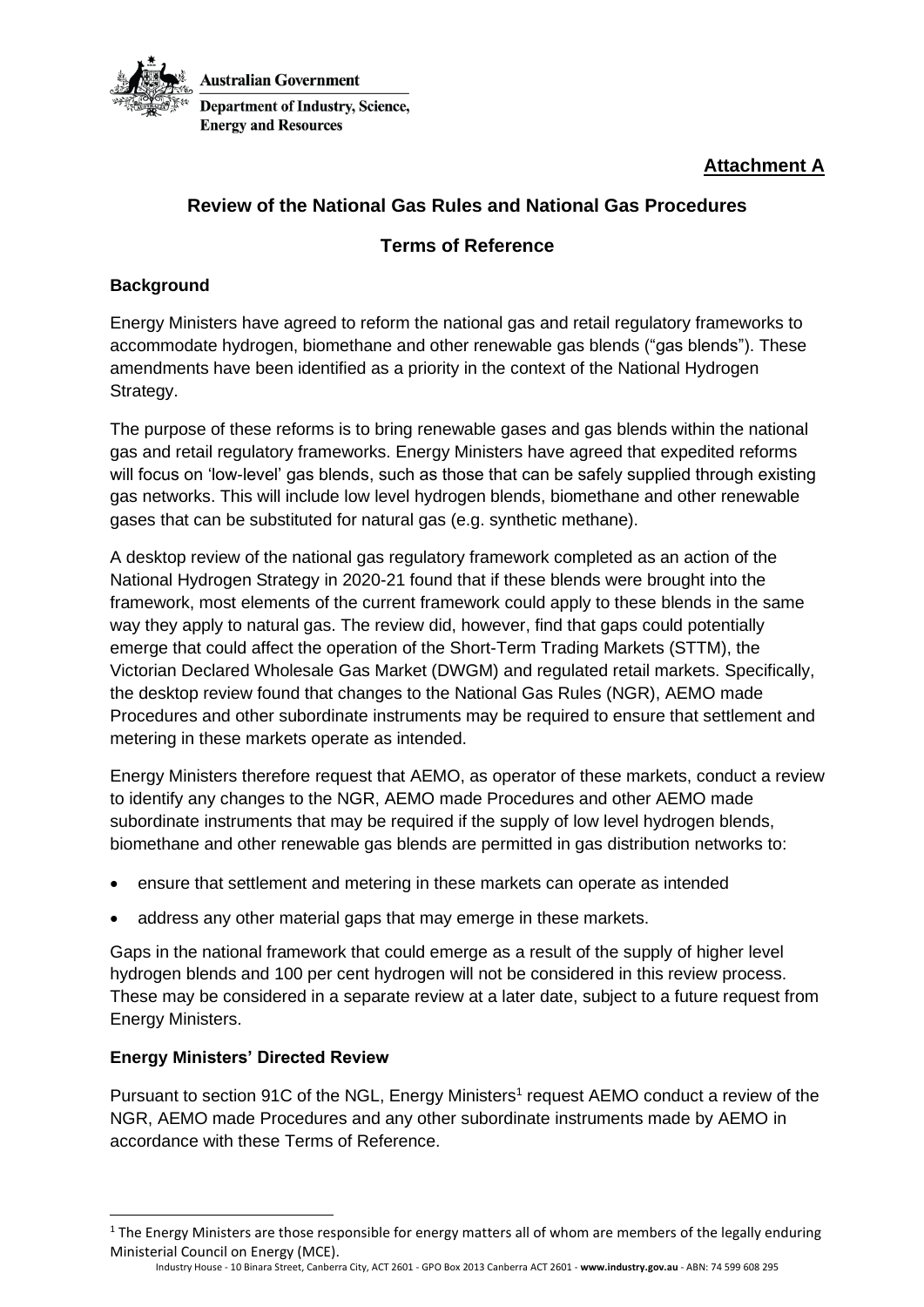

**Attachment A**

# **Review of the National Gas Rules and National Gas Procedures**

## **Terms of Reference**

### **Background**

Energy Ministers have agreed to reform the national gas and retail regulatory frameworks to accommodate hydrogen, biomethane and other renewable gas blends ("gas blends"). These amendments have been identified as a priority in the context of the National Hydrogen Strategy.

The purpose of these reforms is to bring renewable gases and gas blends within the national gas and retail regulatory frameworks. Energy Ministers have agreed that expedited reforms will focus on 'low-level' gas blends, such as those that can be safely supplied through existing gas networks. This will include low level hydrogen blends, biomethane and other renewable gases that can be substituted for natural gas (e.g. synthetic methane).

A desktop review of the national gas regulatory framework completed as an action of the National Hydrogen Strategy in 2020-21 found that if these blends were brought into the framework, most elements of the current framework could apply to these blends in the same way they apply to natural gas. The review did, however, find that gaps could potentially emerge that could affect the operation of the Short-Term Trading Markets (STTM), the Victorian Declared Wholesale Gas Market (DWGM) and regulated retail markets. Specifically, the desktop review found that changes to the National Gas Rules (NGR), AEMO made Procedures and other subordinate instruments may be required to ensure that settlement and metering in these markets operate as intended.

Energy Ministers therefore request that AEMO, as operator of these markets, conduct a review to identify any changes to the NGR, AEMO made Procedures and other AEMO made subordinate instruments that may be required if the supply of low level hydrogen blends, biomethane and other renewable gas blends are permitted in gas distribution networks to:

- ensure that settlement and metering in these markets can operate as intended
- address any other material gaps that may emerge in these markets.

Gaps in the national framework that could emerge as a result of the supply of higher level hydrogen blends and 100 per cent hydrogen will not be considered in this review process. These may be considered in a separate review at a later date, subject to a future request from Energy Ministers.

#### **Energy Ministers' Directed Review**

Pursuant to section 91C of the NGL, Energy Ministers<sup>1</sup> request AEMO conduct a review of the NGR, AEMO made Procedures and any other subordinate instruments made by AEMO in accordance with these Terms of Reference.

 $1$  The Energy Ministers are those responsible for energy matters all of whom are members of the legally enduring Ministerial Council on Energy (MCE).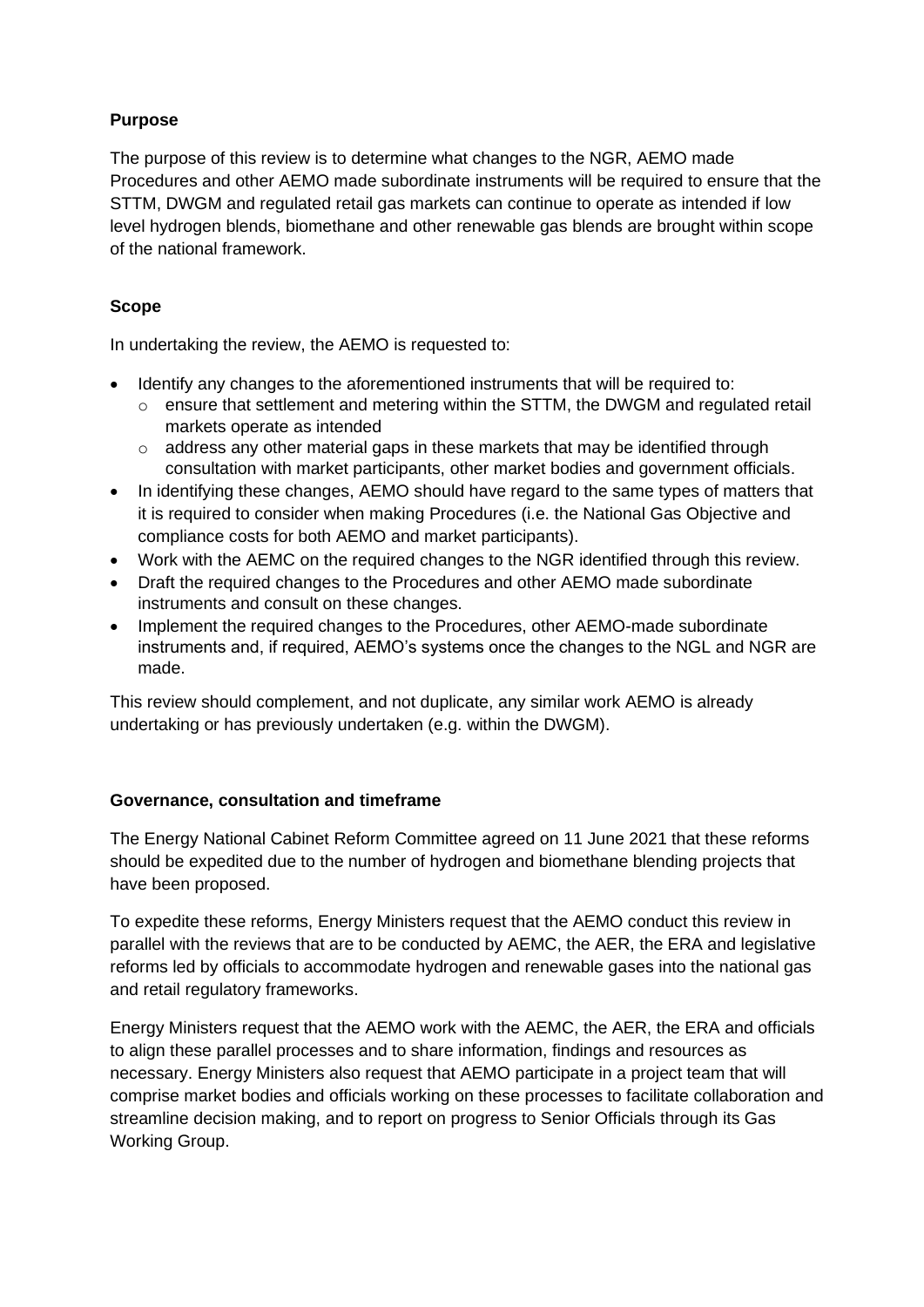## **Purpose**

The purpose of this review is to determine what changes to the NGR, AEMO made Procedures and other AEMO made subordinate instruments will be required to ensure that the STTM, DWGM and regulated retail gas markets can continue to operate as intended if low level hydrogen blends, biomethane and other renewable gas blends are brought within scope of the national framework.

## **Scope**

In undertaking the review, the AEMO is requested to:

- Identify any changes to the aforementioned instruments that will be required to:
	- $\circ$  ensure that settlement and metering within the STTM, the DWGM and regulated retail markets operate as intended
	- $\circ$  address any other material gaps in these markets that may be identified through consultation with market participants, other market bodies and government officials.
- In identifying these changes, AEMO should have regard to the same types of matters that it is required to consider when making Procedures (i.e. the National Gas Objective and compliance costs for both AEMO and market participants).
- Work with the AEMC on the required changes to the NGR identified through this review.
- Draft the required changes to the Procedures and other AEMO made subordinate instruments and consult on these changes.
- Implement the required changes to the Procedures, other AEMO-made subordinate instruments and, if required, AEMO's systems once the changes to the NGL and NGR are made.

This review should complement, and not duplicate, any similar work AEMO is already undertaking or has previously undertaken (e.g. within the DWGM).

### **Governance, consultation and timeframe**

The Energy National Cabinet Reform Committee agreed on 11 June 2021 that these reforms should be expedited due to the number of hydrogen and biomethane blending projects that have been proposed.

To expedite these reforms, Energy Ministers request that the AEMO conduct this review in parallel with the reviews that are to be conducted by AEMC, the AER, the ERA and legislative reforms led by officials to accommodate hydrogen and renewable gases into the national gas and retail regulatory frameworks.

Energy Ministers request that the AEMO work with the AEMC, the AER, the ERA and officials to align these parallel processes and to share information, findings and resources as necessary. Energy Ministers also request that AEMO participate in a project team that will comprise market bodies and officials working on these processes to facilitate collaboration and streamline decision making, and to report on progress to Senior Officials through its Gas Working Group.